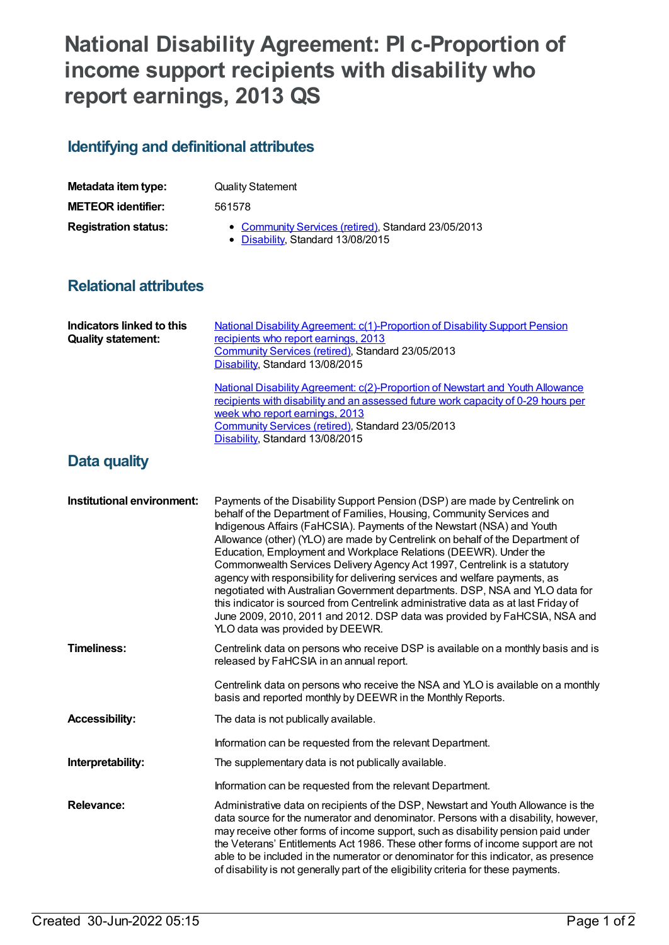# **National Disability Agreement: PI c-Proportion of income support recipients with disability who report earnings, 2013 QS**

## **Identifying and definitional attributes**

| Metadata item type:         | <b>Quality Statement</b>                                                                 |
|-----------------------------|------------------------------------------------------------------------------------------|
| <b>METEOR identifier:</b>   | 561578                                                                                   |
| <b>Registration status:</b> | • Community Services (retired), Standard 23/05/2013<br>• Disability, Standard 13/08/2015 |

#### **Relational attributes**

| Indicators linked to this<br><b>Quality statement:</b> | National Disability Agreement: c(1)-Proportion of Disability Support Pension<br>recipients who report earnings, 2013<br>Community Services (retired), Standard 23/05/2013<br>Disability, Standard 13/08/2015                                                                                                                                                                                                                                                                                                                                                                                                                                                                                                                                                                                                                         |
|--------------------------------------------------------|--------------------------------------------------------------------------------------------------------------------------------------------------------------------------------------------------------------------------------------------------------------------------------------------------------------------------------------------------------------------------------------------------------------------------------------------------------------------------------------------------------------------------------------------------------------------------------------------------------------------------------------------------------------------------------------------------------------------------------------------------------------------------------------------------------------------------------------|
|                                                        | National Disability Agreement: c(2)-Proportion of Newstart and Youth Allowance<br>recipients with disability and an assessed future work capacity of 0-29 hours per<br>week who report earnings, 2013<br>Community Services (retired), Standard 23/05/2013<br>Disability, Standard 13/08/2015                                                                                                                                                                                                                                                                                                                                                                                                                                                                                                                                        |
| Data quality                                           |                                                                                                                                                                                                                                                                                                                                                                                                                                                                                                                                                                                                                                                                                                                                                                                                                                      |
| Institutional environment:                             | Payments of the Disability Support Pension (DSP) are made by Centrelink on<br>behalf of the Department of Families, Housing, Community Services and<br>Indigenous Affairs (FaHCSIA). Payments of the Newstart (NSA) and Youth<br>Allowance (other) (YLO) are made by Centrelink on behalf of the Department of<br>Education, Employment and Workplace Relations (DEEWR). Under the<br>Commonwealth Services Delivery Agency Act 1997, Centrelink is a statutory<br>agency with responsibility for delivering services and welfare payments, as<br>negotiated with Australian Government departments. DSP, NSA and YLO data for<br>this indicator is sourced from Centrelink administrative data as at last Friday of<br>June 2009, 2010, 2011 and 2012. DSP data was provided by FaHCSIA, NSA and<br>YLO data was provided by DEEWR. |
| <b>Timeliness:</b>                                     | Centrelink data on persons who receive DSP is available on a monthly basis and is<br>released by FaHCSIA in an annual report.                                                                                                                                                                                                                                                                                                                                                                                                                                                                                                                                                                                                                                                                                                        |
|                                                        | Centrelink data on persons who receive the NSA and YLO is available on a monthly<br>basis and reported monthly by DEEWR in the Monthly Reports.                                                                                                                                                                                                                                                                                                                                                                                                                                                                                                                                                                                                                                                                                      |
| <b>Accessibility:</b>                                  | The data is not publically available.                                                                                                                                                                                                                                                                                                                                                                                                                                                                                                                                                                                                                                                                                                                                                                                                |
|                                                        | Information can be requested from the relevant Department.                                                                                                                                                                                                                                                                                                                                                                                                                                                                                                                                                                                                                                                                                                                                                                           |
| Interpretability:                                      | The supplementary data is not publically available.                                                                                                                                                                                                                                                                                                                                                                                                                                                                                                                                                                                                                                                                                                                                                                                  |
|                                                        | Information can be requested from the relevant Department.                                                                                                                                                                                                                                                                                                                                                                                                                                                                                                                                                                                                                                                                                                                                                                           |
| Relevance:                                             | Administrative data on recipients of the DSP, Newstart and Youth Allowance is the<br>data source for the numerator and denominator. Persons with a disability, however,<br>may receive other forms of income support, such as disability pension paid under<br>the Veterans' Entitlements Act 1986. These other forms of income support are not<br>able to be included in the numerator or denominator for this indicator, as presence<br>of disability is not generally part of the eligibility criteria for these payments.                                                                                                                                                                                                                                                                                                        |